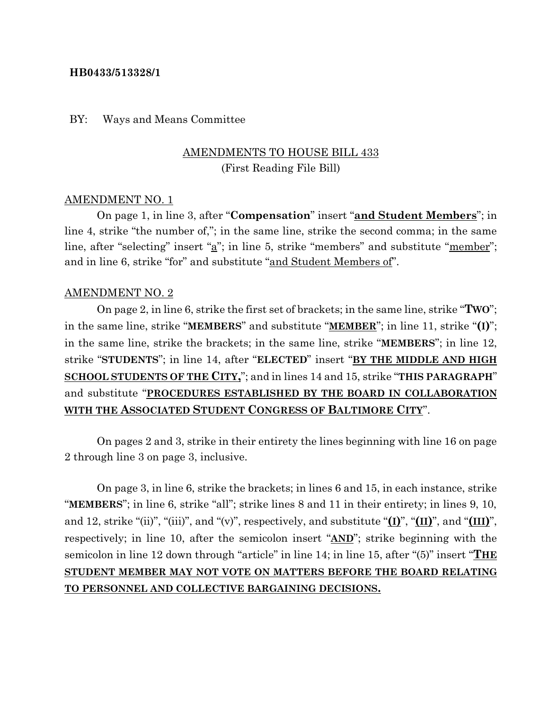### **HB0433/513328/1**

#### BY: Ways and Means Committee

# AMENDMENTS TO HOUSE BILL 433 (First Reading File Bill)

#### AMENDMENT NO. 1

On page 1, in line 3, after "**Compensation**" insert "**and Student Members**"; in line 4, strike "the number of,"; in the same line, strike the second comma; in the same line, after "selecting" insert "<u>a</u>"; in line 5, strike "members" and substitute "<u>member</u>"; and in line 6, strike "for" and substitute "and Student Members of".

#### AMENDMENT NO. 2

On page 2, in line 6, strike the first set of brackets; in the same line, strike "**TWO**"; in the same line, strike "**MEMBERS**" and substitute "**MEMBER**"; in line 11, strike "**(I)**"; in the same line, strike the brackets; in the same line, strike "**MEMBERS**"; in line 12, strike "**STUDENTS**"; in line 14, after "**ELECTED**" insert "**BY THE MIDDLE AND HIGH SCHOOL STUDENTS OF THE CITY,**"; and in lines 14 and 15, strike "**THIS PARAGRAPH**" and substitute "**PROCEDURES ESTABLISHED BY THE BOARD IN COLLABORATION WITH THE ASSOCIATED STUDENT CONGRESS OF BALTIMORE CITY**".

On pages 2 and 3, strike in their entirety the lines beginning with line 16 on page 2 through line 3 on page 3, inclusive.

On page 3, in line 6, strike the brackets; in lines 6 and 15, in each instance, strike "**MEMBERS**"; in line 6, strike "all"; strike lines 8 and 11 in their entirety; in lines 9, 10, and 12, strike "(ii)", "(iii)", and "(v)", respectively, and substitute "**(I)**", "**(II)**", and "**(III)**", respectively; in line 10, after the semicolon insert "**AND**"; strike beginning with the semicolon in line 12 down through "article" in line 14; in line 15, after "(5)" insert "**THE STUDENT MEMBER MAY NOT VOTE ON MATTERS BEFORE THE BOARD RELATING TO PERSONNEL AND COLLECTIVE BARGAINING DECISIONS.**